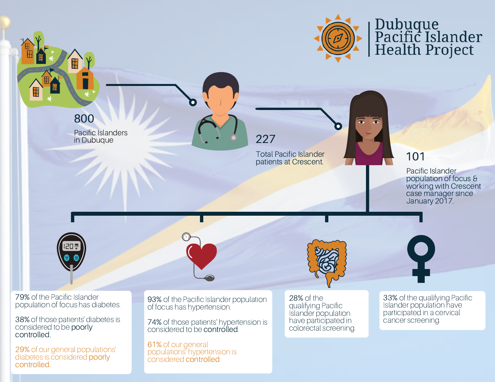

29% of our general populations' diabetes is considered poorly controlled.

61% of our general populations' hypertension is considered controlled.